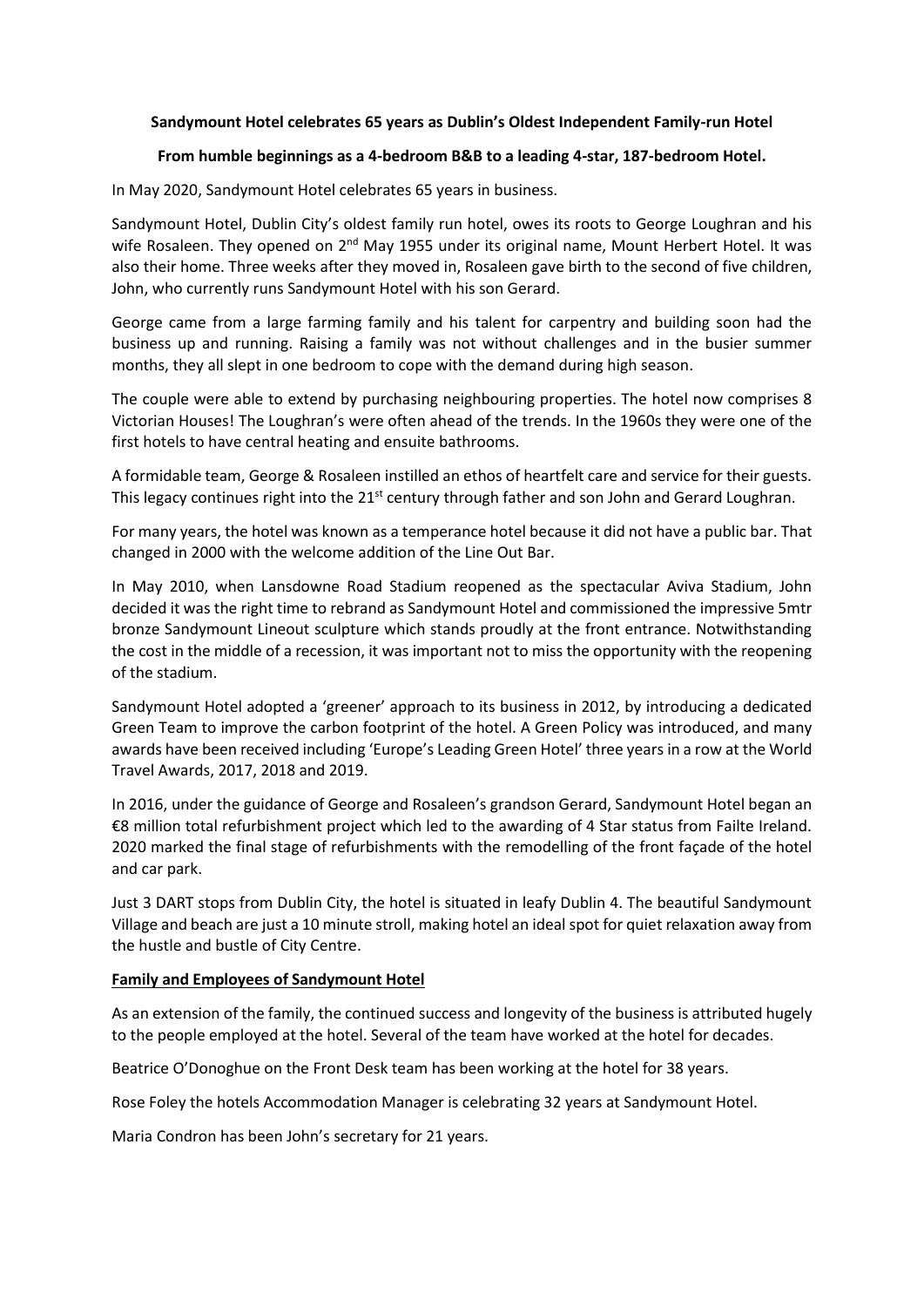## **Sandymount Hotel celebrates 65 years as Dublin's Oldest Independent Family-run Hotel**

## **From humble beginnings as a 4-bedroom B&B to a leading 4-star, 187-bedroom Hotel.**

In May 2020, Sandymount Hotel celebrates 65 years in business.

Sandymount Hotel, Dublin City's oldest family run hotel, owes its roots to George Loughran and his wife Rosaleen. They opened on 2<sup>nd</sup> May 1955 under its original name, Mount Herbert Hotel. It was also their home. Three weeks after they moved in, Rosaleen gave birth to the second of five children, John, who currently runs Sandymount Hotel with his son Gerard.

George came from a large farming family and his talent for carpentry and building soon had the business up and running. Raising a family was not without challenges and in the busier summer months, they all slept in one bedroom to cope with the demand during high season.

The couple were able to extend by purchasing neighbouring properties. The hotel now comprises 8 Victorian Houses! The Loughran's were often ahead of the trends. In the 1960s they were one of the first hotels to have central heating and ensuite bathrooms.

A formidable team, George & Rosaleen instilled an ethos of heartfelt care and service for their guests. This legacy continues right into the 21<sup>st</sup> century through father and son John and Gerard Loughran.

For many years, the hotel was known as a temperance hotel because it did not have a public bar. That changed in 2000 with the welcome addition of the Line Out Bar.

In May 2010, when Lansdowne Road Stadium reopened as the spectacular Aviva Stadium, John decided it was the right time to rebrand as Sandymount Hotel and commissioned the impressive 5mtr bronze Sandymount Lineout sculpture which stands proudly at the front entrance. Notwithstanding the cost in the middle of a recession, it was important not to miss the opportunity with the reopening of the stadium.

Sandymount Hotel adopted a 'greener' approach to its business in 2012, by introducing a dedicated Green Team to improve the carbon footprint of the hotel. A Green Policy was introduced, and many awards have been received including 'Europe's Leading Green Hotel' three years in a row at the World Travel Awards, 2017, 2018 and 2019.

In 2016, under the guidance of George and Rosaleen's grandson Gerard, Sandymount Hotel began an €8 million total refurbishment project which led to the awarding of 4 Star status from Failte Ireland. 2020 marked the final stage of refurbishments with the remodelling of the front façade of the hotel and car park.

Just 3 DART stops from Dublin City, the hotel is situated in leafy Dublin 4. The beautiful Sandymount Village and beach are just a 10 minute stroll, making hotel an ideal spot for quiet relaxation away from the hustle and bustle of City Centre.

## **Family and Employees of Sandymount Hotel**

As an extension of the family, the continued success and longevity of the business is attributed hugely to the people employed at the hotel. Several of the team have worked at the hotel for decades.

Beatrice O'Donoghue on the Front Desk team has been working at the hotel for 38 years.

Rose Foley the hotels Accommodation Manager is celebrating 32 years at Sandymount Hotel.

Maria Condron has been John's secretary for 21 years.